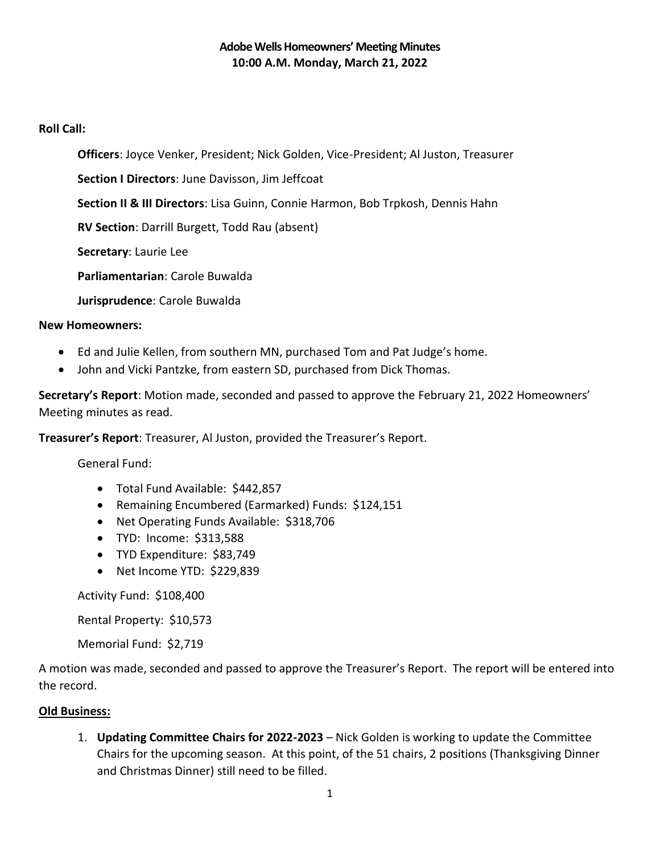### **Roll Call:**

**Officers**: Joyce Venker, President; Nick Golden, Vice-President; Al Juston, Treasurer

**Section I Directors**: June Davisson, Jim Jeffcoat

**Section II & III Directors**: Lisa Guinn, Connie Harmon, Bob Trpkosh, Dennis Hahn

**RV Section**: Darrill Burgett, Todd Rau (absent)

**Secretary**: Laurie Lee

**Parliamentarian**: Carole Buwalda

**Jurisprudence**: Carole Buwalda

### **New Homeowners:**

- Ed and Julie Kellen, from southern MN, purchased Tom and Pat Judge's home.
- John and Vicki Pantzke, from eastern SD, purchased from Dick Thomas.

**Secretary's Report**: Motion made, seconded and passed to approve the February 21, 2022 Homeowners' Meeting minutes as read.

**Treasurer's Report**: Treasurer, Al Juston, provided the Treasurer's Report.

General Fund:

- Total Fund Available: \$442,857
- Remaining Encumbered (Earmarked) Funds: \$124,151
- Net Operating Funds Available: \$318,706
- TYD: Income: \$313,588
- TYD Expenditure: \$83,749
- Net Income YTD: \$229,839

Activity Fund: \$108,400

Rental Property: \$10,573

Memorial Fund: \$2,719

A motion was made, seconded and passed to approve the Treasurer's Report. The report will be entered into the record.

### **Old Business:**

1. **Updating Committee Chairs for 2022-2023** – Nick Golden is working to update the Committee Chairs for the upcoming season. At this point, of the 51 chairs, 2 positions (Thanksgiving Dinner and Christmas Dinner) still need to be filled.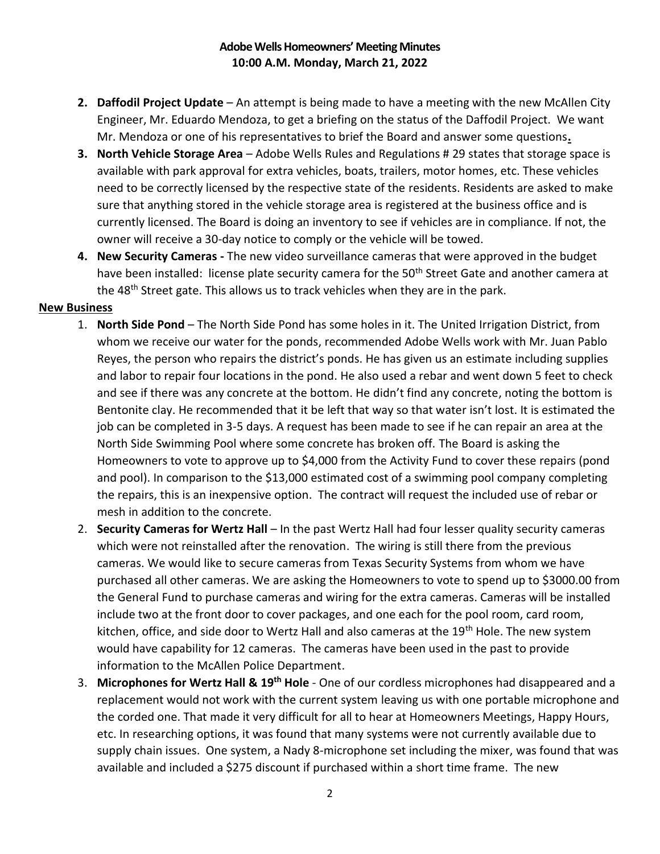- **2. Daffodil Project Update** An attempt is being made to have a meeting with the new McAllen City Engineer, Mr. Eduardo Mendoza, to get a briefing on the status of the Daffodil Project. We want Mr. Mendoza or one of his representatives to brief the Board and answer some questions**.**
- **3. North Vehicle Storage Area**  Adobe Wells Rules and Regulations # 29 states that storage space is available with park approval for extra vehicles, boats, trailers, motor homes, etc. These vehicles need to be correctly licensed by the respective state of the residents. Residents are asked to make sure that anything stored in the vehicle storage area is registered at the business office and is currently licensed. The Board is doing an inventory to see if vehicles are in compliance. If not, the owner will receive a 30-day notice to comply or the vehicle will be towed.
- **4. New Security Cameras -** The new video surveillance cameras that were approved in the budget have been installed: license plate security camera for the 50<sup>th</sup> Street Gate and another camera at the 48<sup>th</sup> Street gate. This allows us to track vehicles when they are in the park.

### **New Business**

- 1. **North Side Pond** The North Side Pond has some holes in it. The United Irrigation District, from whom we receive our water for the ponds, recommended Adobe Wells work with Mr. Juan Pablo Reyes, the person who repairs the district's ponds. He has given us an estimate including supplies and labor to repair four locations in the pond. He also used a rebar and went down 5 feet to check and see if there was any concrete at the bottom. He didn't find any concrete, noting the bottom is Bentonite clay. He recommended that it be left that way so that water isn't lost. It is estimated the job can be completed in 3-5 days. A request has been made to see if he can repair an area at the North Side Swimming Pool where some concrete has broken off. The Board is asking the Homeowners to vote to approve up to \$4,000 from the Activity Fund to cover these repairs (pond and pool). In comparison to the \$13,000 estimated cost of a swimming pool company completing the repairs, this is an inexpensive option. The contract will request the included use of rebar or mesh in addition to the concrete.
- 2. **Security Cameras for Wertz Hall** In the past Wertz Hall had four lesser quality security cameras which were not reinstalled after the renovation. The wiring is still there from the previous cameras. We would like to secure cameras from Texas Security Systems from whom we have purchased all other cameras. We are asking the Homeowners to vote to spend up to \$3000.00 from the General Fund to purchase cameras and wiring for the extra cameras. Cameras will be installed include two at the front door to cover packages, and one each for the pool room, card room, kitchen, office, and side door to Wertz Hall and also cameras at the 19<sup>th</sup> Hole. The new system would have capability for 12 cameras. The cameras have been used in the past to provide information to the McAllen Police Department.
- 3. **Microphones for Wertz Hall & 19th Hole** One of our cordless microphones had disappeared and a replacement would not work with the current system leaving us with one portable microphone and the corded one. That made it very difficult for all to hear at Homeowners Meetings, Happy Hours, etc. In researching options, it was found that many systems were not currently available due to supply chain issues. One system, a Nady 8-microphone set including the mixer, was found that was available and included a \$275 discount if purchased within a short time frame. The new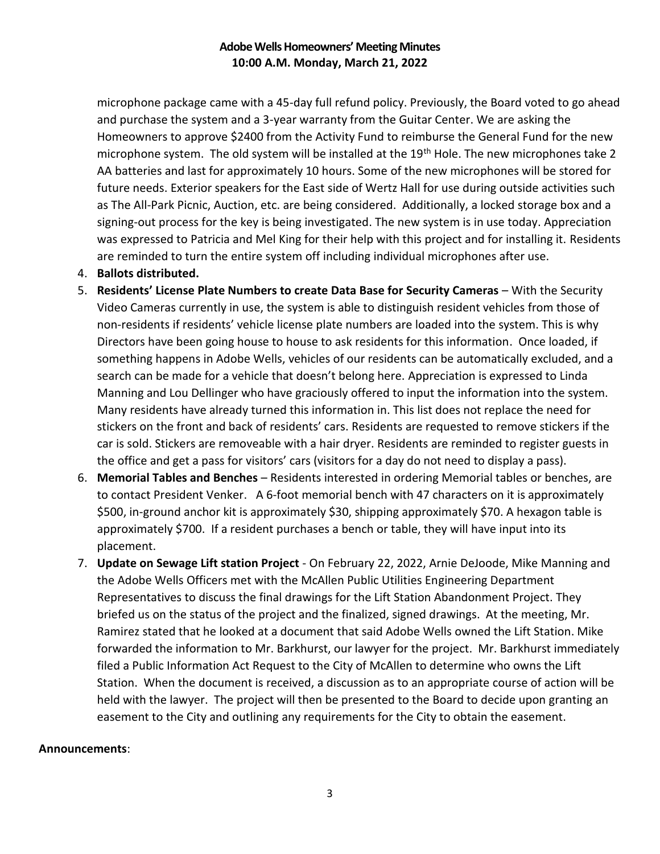microphone package came with a 45-day full refund policy. Previously, the Board voted to go ahead and purchase the system and a 3-year warranty from the Guitar Center. We are asking the Homeowners to approve \$2400 from the Activity Fund to reimburse the General Fund for the new microphone system. The old system will be installed at the 19<sup>th</sup> Hole. The new microphones take 2 AA batteries and last for approximately 10 hours. Some of the new microphones will be stored for future needs. Exterior speakers for the East side of Wertz Hall for use during outside activities such as The All-Park Picnic, Auction, etc. are being considered. Additionally, a locked storage box and a signing-out process for the key is being investigated. The new system is in use today. Appreciation was expressed to Patricia and Mel King for their help with this project and for installing it. Residents are reminded to turn the entire system off including individual microphones after use.

### 4. **Ballots distributed.**

- 5. **Residents' License Plate Numbers to create Data Base for Security Cameras** With the Security Video Cameras currently in use, the system is able to distinguish resident vehicles from those of non-residents if residents' vehicle license plate numbers are loaded into the system. This is why Directors have been going house to house to ask residents for this information. Once loaded, if something happens in Adobe Wells, vehicles of our residents can be automatically excluded, and a search can be made for a vehicle that doesn't belong here. Appreciation is expressed to Linda Manning and Lou Dellinger who have graciously offered to input the information into the system. Many residents have already turned this information in. This list does not replace the need for stickers on the front and back of residents' cars. Residents are requested to remove stickers if the car is sold. Stickers are removeable with a hair dryer. Residents are reminded to register guests in the office and get a pass for visitors' cars (visitors for a day do not need to display a pass).
- 6. **Memorial Tables and Benches** Residents interested in ordering Memorial tables or benches, are to contact President Venker. A 6-foot memorial bench with 47 characters on it is approximately \$500, in-ground anchor kit is approximately \$30, shipping approximately \$70. A hexagon table is approximately \$700. If a resident purchases a bench or table, they will have input into its placement.
- 7. **Update on Sewage Lift station Project** On February 22, 2022, Arnie DeJoode, Mike Manning and the Adobe Wells Officers met with the McAllen Public Utilities Engineering Department Representatives to discuss the final drawings for the Lift Station Abandonment Project. They briefed us on the status of the project and the finalized, signed drawings. At the meeting, Mr. Ramirez stated that he looked at a document that said Adobe Wells owned the Lift Station. Mike forwarded the information to Mr. Barkhurst, our lawyer for the project. Mr. Barkhurst immediately filed a Public Information Act Request to the City of McAllen to determine who owns the Lift Station. When the document is received, a discussion as to an appropriate course of action will be held with the lawyer. The project will then be presented to the Board to decide upon granting an easement to the City and outlining any requirements for the City to obtain the easement.

#### **Announcements**: